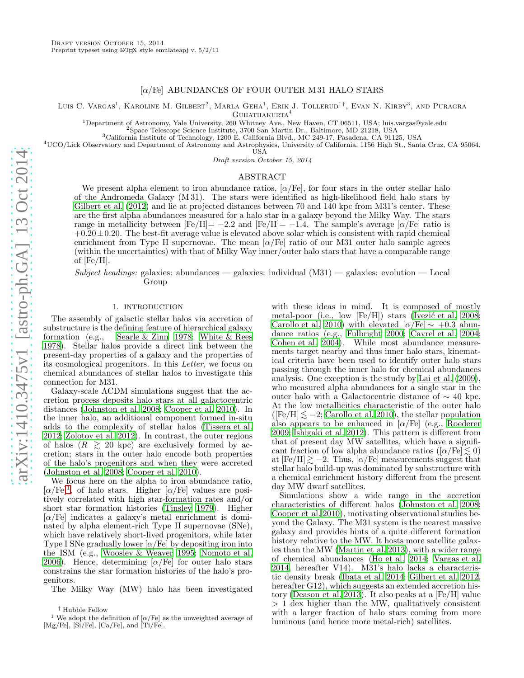# $\alpha$ /Fe] ABUNDANCES OF FOUR OUTER M 31 HALO STARS

Luis C. Vargas<sup>1</sup>, Karoline M. Gilbert<sup>2</sup>, Marla Geha<sup>1</sup>, Erik J. Tollerud<sup>1†</sup>, Evan N. Kirby<sup>3</sup>, and Puragra GUHATHAKURTA<sup>4</sup>

<sup>1</sup>Department of Astronomy, Yale University, 260 Whitney Ave., New Haven, CT 06511, USA; luis.vargas@yale.edu

<sup>2</sup>Space Telescope Science Institute, 3700 San Martin Dr., Baltimore, MD 21218, USA

<sup>3</sup>California Institute of Technology, 1200 E. California Blvd., MC 249-17, Pasadena, CA 91125, USA

<sup>4</sup>UCO/Lick Observatory and Department of Astronomy and Astrophysics, University of California, 1156 High St., Santa Cruz, CA 95064,

USA

Draft version October 15, 2014

### ABSTRACT

We present alpha element to iron abundance ratios,  $\alpha$  Fe], for four stars in the outer stellar halo of the Andromeda Galaxy (M 31). The stars were identified as high-likelihood field halo stars by [Gilbert et al. \(2012\)](#page-5-0) and lie at projected distances between 70 and 140 kpc from M31's center. These are the first alpha abundances measured for a halo star in a galaxy beyond the Milky Way. The stars range in metallicity between  $[Fe/H] = -2.2$  and  $[Fe/H] = -1.4$ . The sample's average  $[\alpha/Fe]$  ratio is  $+0.20\pm0.20$ . The best-fit average value is elevated above solar which is consistent with rapid chemical enrichment from Type II supernovae. The mean  $\alpha$ /Fe] ratio of our M31 outer halo sample agrees (within the uncertainties) with that of Milky Way inner/outer halo stars that have a comparable range of  $[Fe/H]$ .

Subject headings: galaxies: abundances — galaxies: individual  $(M31)$  — galaxies: evolution — Local Group

### 1. INTRODUCTION

The assembly of galactic stellar halos via accretion of substructure is the defining feature of hierarchical galaxy formation (e.g., [Searle & Zinn 1978;](#page-5-1) [White & Rees](#page-5-2) [1978\)](#page-5-2). Stellar halos provide a direct link between the present-day properties of a galaxy and the properties of its cosmological progenitors. In this Letter, we focus on chemical abundances of stellar halos to investigate this connection for M31.

Galaxy-scale ΛCDM simulations suggest that the accretion process deposits halo stars at all galactocentric distances [\(Johnston et al. 2008;](#page-5-3) [Cooper et al. 2010\)](#page-4-0). In the inner halo, an additional component formed in-situ adds to the complexity of stellar halos [\(Tissera et al.](#page-5-4) [2012;](#page-5-4) [Zolotov et al. 2012\)](#page-5-5). In contrast, the outer regions of halos  $(R \geq 20 \text{ kpc})$  are exclusively formed by accretion; stars in the outer halo encode both properties of the halo's progenitors and when they were accreted [\(Johnston et al. 2008;](#page-5-3) [Cooper et al. 2010](#page-4-0)).

We focus here on the alpha to iron abundance ratio,  $[\alpha/\text{Fe}]^1$  $[\alpha/\text{Fe}]^1$ , of halo stars. Higher  $[\alpha/\text{Fe}]$  values are positively correlated with high star-formation rates and/or short star formation histories [\(Tinsley 1979\)](#page-5-6). Higher  $\alpha$ /Fe] indicates a galaxy's metal enrichment is dominated by alpha element-rich Type II supernovae (SNe), which have relatively short-lived progenitors, while later Type I SNe gradually lower  $\alpha$ /Fe] by depositing iron into the ISM (e.g., [Woosley & Weaver 1995](#page-5-7); [Nomoto et al.](#page-5-8) [2006\)](#page-5-8). Hence, determining  $\alpha$ /Fe] for outer halo stars constrains the star formation histories of the halo's progenitors.

The Milky Way (MW) halo has been investigated

with these ideas in mind. It is composed of mostly metal-poor (i.e., low  $[Fe/H]$ ) stars (Ivezić et al. 2008; [Carollo et al. 2010\)](#page-4-1) with elevated  $\alpha$ /Fe $\sim +0.3$  abundance ratios (e.g., [Fulbright 2000;](#page-4-2) [Cayrel et al. 2004](#page-4-3); [Cohen et al. 2004](#page-4-4)). While most abundance measurements target nearby and thus inner halo stars, kinematical criteria have been used to identify outer halo stars passing through the inner halo for chemical abundances analysis. One exception is the study by [Lai et al. \(2009](#page-5-10)), who measured alpha abundances for a single star in the outer halo with a Galactocentric distance of ∼ 40 kpc. At the low metallicities characteristic of the outer halo  $(Fe/H] \le -2$ ; [Carollo et al. 2010\)](#page-4-1), the stellar population also appears to be enhanced in  $\alpha$ /Fe] (e.g., [Roederer](#page-5-11) [2009;](#page-5-11) [Ishigaki et al. 2012](#page-5-12)). This pattern is different from that of present day MW satellites, which have a significant fraction of low alpha abundance ratios ( $\alpha$ /Fe $\leq 0$ ) at  $[Fe/H] \ge -2$ . Thus,  $[\alpha/Fe]$  measurements suggest that stellar halo build-up was dominated by substructure with a chemical enrichment history different from the present day MW dwarf satellites.

Simulations show a wide range in the accretion characteristics of different halos [\(Johnston et al. 2008](#page-5-3); [Cooper et al. 2010](#page-4-0)), motivating observational studies beyond the Galaxy. The M31 system is the nearest massive galaxy and provides hints of a quite different formation history relative to the MW. It hosts more satellite galaxies than the MW [\(Martin et al. 2013\)](#page-5-13), with a wider range of chemical abundances [\(Ho et al. 2014;](#page-5-14) [Vargas et al.](#page-5-15) [2014,](#page-5-15) hereafter V14). M31's halo lacks a characteristic density break [\(Ibata et al. 2014;](#page-5-16) [Gilbert et al. 2012](#page-5-0), hereafter G12), which suggests an extended accretion history [\(Deason et al. 2013\)](#page-4-5). It also peaks at a [Fe/H] value > 1 dex higher than the MW, qualitatively consistent with a larger fraction of halo stars coming from more luminous (and hence more metal-rich) satellites.

<sup>†</sup> Hubble Fellow

<span id="page-0-0"></span><sup>&</sup>lt;sup>1</sup> We adopt the definition of  $\alpha$ /Fe] as the unweighted average of [Mg/Fe], [Si/Fe], [Ca/Fe], and [Ti/Fe].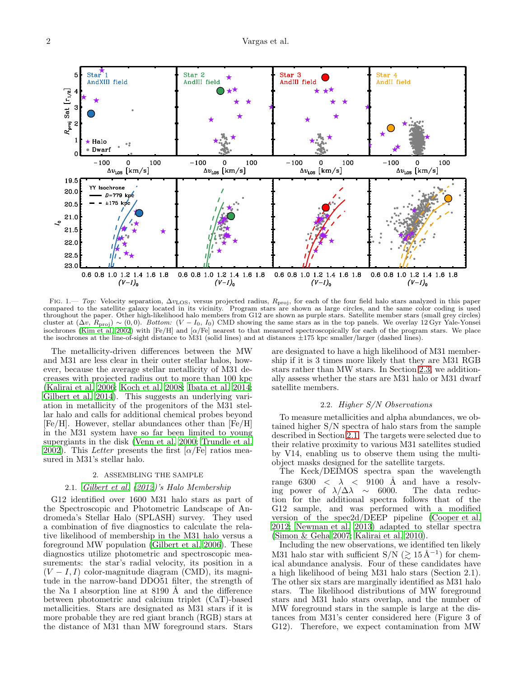

<span id="page-1-1"></span>FIG. 1.— Top: Velocity separation,  $\Delta v_{\rm LOS}$ , versus projected radius,  $R_{\rm proj}$ , for each of the four field halo stars analyzed in this paper compared to the satellite galaxy located in its vicinity. Program stars are shown as large circles, and the same color coding is used throughout the paper. Other high-likelihood halo members from G12 are shown as purple stars. Satellite member stars (small grey circles) cluster at  $(\Delta v, R_{\text{proj}}) \sim (0, 0)$ . Bottom:  $(V - I_0, I_0)$  CMD showing the same stars as in the top panels. We overlay 12 Gyr Yale-Yonsei isochrones [\(Kim et al. 2002\)](#page-5-17) with  $[Fe/H]$  and  $[\alpha/Fe]$  nearest to that measured spectroscopically for each of the program stars. We place the isochrones at the line-of-sight distance to M31 (solid lines) and at distances  $\pm 175$  kpc smaller/larger (dashed lines).

The metallicity-driven differences between the MW and M31 are less clear in their outer stellar halos, however, because the average stellar metallicity of M31 decreases with projected radius out to more than 100 kpc [\(Kalirai et al. 2006](#page-5-18); [Koch et al. 2008;](#page-5-19) [Ibata et al. 2014;](#page-5-16) [Gilbert et al. 2014\)](#page-5-20). This suggests an underlying variation in metallicity of the progenitors of the M31 stellar halo and calls for additional chemical probes beyond [Fe/H]. However, stellar abundances other than [Fe/H] in the M31 system have so far been limited to young supergiants in the disk [\(Venn et al. 2000](#page-5-21); [Trundle et al.](#page-5-22) [2002\)](#page-5-22). This Letter presents the first  $\alpha$ /Fe] ratios measured in M31's stellar halo.

### 2. ASSEMBLING THE SAMPLE

# 2.1. [Gilbert et al. \(2012](#page-5-0))'s Halo Membership

<span id="page-1-0"></span>G12 identified over 1600 M31 halo stars as part of the Spectroscopic and Photometric Landscape of Andromeda's Stellar Halo (SPLASH) survey. They used a combination of five diagnostics to calculate the relative likelihood of membership in the M31 halo versus a foreground MW population [\(Gilbert et al. 2006](#page-4-6)). These diagnostics utilize photometric and spectroscopic measurements: the star's radial velocity, its position in a  $(V - I, I)$  color-magnitude diagram (CMD), its magnitude in the narrow-band DDO51 filter, the strength of the Na I absorption line at  $8190 \text{ Å}$  and the difference between photometric and calcium triplet (CaT)-based metallicities. Stars are designated as M31 stars if it is more probable they are red giant branch (RGB) stars at the distance of M31 than MW foreground stars. Stars

are designated to have a high likelihood of M31 membership if it is 3 times more likely that they are M31 RGB stars rather than MW stars. In Section [2.3,](#page-2-0) we additionally assess whether the stars are M31 halo or M31 dwarf satellite members.

# 2.2. Higher S/N Observations

To measure metallicities and alpha abundances, we obtained higher S/N spectra of halo stars from the sample described in Section [2.1.](#page-1-0) The targets were selected due to their relative proximity to various M31 satellites studied by V14, enabling us to observe them using the multiobject masks designed for the satellite targets.

The Keck/DEIMOS spectra span the wavelength range 6300  $\langle \lambda \rangle$  < 9100 Å and have a resolving power of  $\lambda/\Delta\lambda \sim 6000$ . The data reduction for the additional spectra follows that of the G12 sample, and was performed with a modified version of the spec2d/DEEP pipeline [\(Cooper et al.](#page-4-7) [2012;](#page-4-7) [Newman et al. 2013\)](#page-5-23) adapted to stellar spectra [\(Simon & Geha 2007;](#page-5-24) [Kalirai et al. 2010\)](#page-5-25).

Including the new observations, we identified ten likely M31 halo star with sufficient  $S/N$  ( $\gtrsim 15 \AA^{-1}$ ) for chemical abundance analysis. Four of these candidates have a high likelihood of being M31 halo stars (Section 2.1). The other six stars are marginally identified as M31 halo stars. The likelihood distributions of MW foreground stars and M31 halo stars overlap, and the number of MW foreground stars in the sample is large at the distances from M31's center considered here (Figure 3 of G12). Therefore, we expect contamination from MW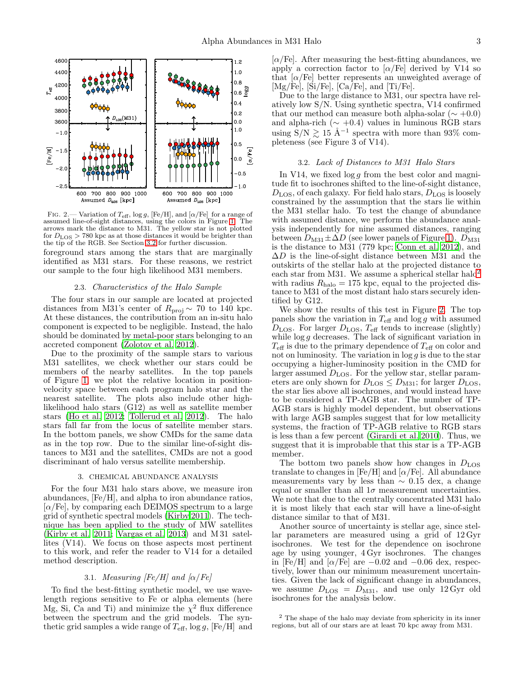

<span id="page-2-3"></span>FIG. 2.— Variation of  $T_{\text{eff}}$ , log g, [Fe/H], and [ $\alpha$ /Fe] for a range of assumed line-of-sight distances, using the colors in Figure [1.](#page-1-1) The arrows mark the distance to M31. The yellow star is not plotted for  $D_{\text{LOS}} > 780$  kpc as at those distances it would be brighter than the tip of the RGB. See Section [3.2](#page-2-1) for further discussion.

foreground stars among the stars that are marginally identified as M31 stars. For these reasons, we restrict our sample to the four high likelihood M31 members.

### 2.3. Characteristics of the Halo Sample

<span id="page-2-0"></span>The four stars in our sample are located at projected distances from M31's center of  $R_{\text{proj}} \sim 70$  to 140 kpc. At these distances, the contribution from an in-situ halo component is expected to be negligible. Instead, the halo should be dominated by metal-poor stars belonging to an accreted component [\(Zolotov et al. 2012](#page-5-5)).

Due to the proximity of the sample stars to various M31 satellites, we check whether our stars could be members of the nearby satellites. In the top panels of Figure [1,](#page-1-1) we plot the relative location in positionvelocity space between each program halo star and the nearest satellite. The plots also include other highlikelihood halo stars (G12) as well as satellite member stars [\(Ho et al. 2012;](#page-5-26) [Tollerud et al. 2012](#page-5-27)). The halo stars fall far from the locus of satellite member stars. In the bottom panels, we show CMDs for the same data as in the top row. Due to the similar line-of-sight distances to M31 and the satellites, CMDs are not a good discriminant of halo versus satellite membership.

### 3. CHEMICAL ABUNDANCE ANALYSIS

For the four M31 halo stars above, we measure iron abundances, [Fe/H], and alpha to iron abundance ratios,  $[\alpha/\text{Fe}]$ , by comparing each DEIMOS spectrum to a large grid of synthetic spectral models [\(Kirby 2011\)](#page-5-28). The technique has been applied to the study of MW satellites [\(Kirby et al. 2011;](#page-5-29) [Vargas et al. 2013\)](#page-5-30) and M 31 satellites (V14). We focus on those aspects most pertinent to this work, and refer the reader to V14 for a detailed method description.

### 3.1. Measuring [Fe/H] and [ $\alpha$ /Fe]

<span id="page-2-4"></span>To find the best-fitting synthetic model, we use wavelength regions sensitive to Fe or alpha elements (here Mg, Si, Ca and Ti) and minimize the  $\chi^2$  flux difference between the spectrum and the grid models. The synthetic grid samples a wide range of  $T_{\text{eff}}$ ,  $\log g$ , [Fe/H] and

 $\alpha$ /Fe]. After measuring the best-fitting abundances, we apply a correction factor to  $\alpha$ /Fe] derived by V14 so that  $\alpha$ /Fe] better represents an unweighted average of  $[Mg/Fe]$ ,  $[\text{Si/Fe}]$ ,  $[\text{Ca/Fe}]$ , and  $[\text{Ti/Fe}]$ .

Due to the large distance to M31, our spectra have relatively low S/N. Using synthetic spectra, V14 confirmed that our method can measure both alpha-solar ( $\sim +0.0$ ) and alpha-rich ( $\sim +0.4$ ) values in luminous RGB stars using  $S/N \gtrsim 15 \text{ Å}^{-1}$  spectra with more than 93% completeness (see Figure 3 of V14).

#### 3.2. Lack of Distances to M31 Halo Stars

<span id="page-2-1"></span>In V14, we fixed  $\log g$  from the best color and magnitude fit to isochrones shifted to the line-of-sight distance,  $D<sub>LOS</sub>$ , of each galaxy. For field halo stars,  $D<sub>LOS</sub>$  is loosely constrained by the assumption that the stars lie within the M31 stellar halo. To test the change of abundance with assumed distance, we perform the abundance analysis independently for nine assumed distances, ranging between  $D_{M31} \pm \Delta D$  (see lower panels of Figure [1\)](#page-1-1).  $D_{M31}$ is the distance to M31 (779 kpc; [Conn et al. 2012\)](#page-4-8), and  $\Delta D$  is the line-of-sight distance between M31 and the outskirts of the stellar halo at the projected distance to each star from M31. We assume a spherical stellar halo<sup>[2](#page-2-2)</sup> with radius  $R_{\text{halo}} = 175$  kpc, equal to the projected distance to M31 of the most distant halo stars securely identified by G12.

We show the results of this test in Figure [2.](#page-2-3) The top panels show the variation in  $T_{\text{eff}}$  and  $\log g$  with assumed  $D<sub>LOS</sub>$ . For larger  $D<sub>LOS</sub>$ ,  $T<sub>eff</sub>$  tends to increase (slightly) while  $\log g$  decreases. The lack of significant variation in  $T_{\text{eff}}$  is due to the primary dependence of  $T_{\text{eff}}$  on color and not on luminosity. The variation in  $\log g$  is due to the star occupying a higher-luminosity position in the CMD for larger assumed  $D_{\text{LOS}}$ . For the yellow star, stellar parameters are only shown for  $D_{\text{LOS}} \leq D_{\text{M31}}$ ; for larger  $D_{\text{LOS}}$ , the star lies above all isochrones, and would instead have to be considered a TP-AGB star. The number of TP-AGB stars is highly model dependent, but observations with large AGB samples suggest that for low metallicity systems, the fraction of TP-AGB relative to RGB stars is less than a few percent [\(Girardi et al. 2010](#page-5-31)). Thus, we suggest that it is improbable that this star is a TP-AGB member.

The bottom two panels show how changes in  $D_{\text{LOS}}$ translate to changes in [Fe/H] and  $\alpha$ /Fe]. All abundance measurements vary by less than  $\sim 0.15$  dex, a change equal or smaller than all  $1\sigma$  measurement uncertainties. We note that due to the centrally concentrated M31 halo it is most likely that each star will have a line-of-sight distance similar to that of M31.

Another source of uncertainty is stellar age, since stellar parameters are measured using a grid of 12 Gyr isochrones. We test for the dependence on isochrone age by using younger, 4 Gyr isochrones. The changes in [Fe/H] and [ $\alpha$ /Fe] are  $-0.02$  and  $-0.06$  dex, respectively, lower than our minimum measurement uncertainties. Given the lack of significant change in abundances, we assume  $D_{\text{LOS}} = D_{\text{M31}}$ , and use only 12 Gyr old isochrones for the analysis below.

<span id="page-2-2"></span><sup>2</sup> The shape of the halo may deviate from sphericity in its inner regions, but all of our stars are at least 70 kpc away from M31.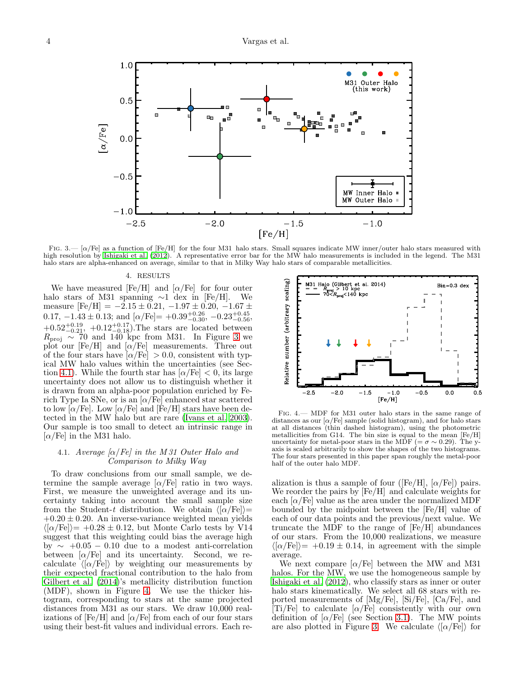

<span id="page-3-0"></span>FIG. 3.—  $\alpha$  [Fe] as a function of [Fe/H] for the four M31 halo stars. Small squares indicate MW inner/outer halo stars measured with high resolution by [Ishigaki et al. \(2012](#page-5-12)). A representative error bar for the MW halo measurements is included in the legend. The M31 halo stars are alpha-enhanced on average, similar to that in Milky Way halo stars of comparable metallicities.

#### 4. RESULTS

We have measured [Fe/H] and  $\alpha$ /Fe] for four outer halo stars of M31 spanning  $\sim$ 1 dex in [Fe/H]. We measure  $[Fe/H] = -2.15 \pm 0.21, -1.97 \pm 0.20, -1.67 \pm 0.20$ 0.17,  $-1.43 \pm 0.13$ ; and  $\lbrack \alpha/\mathrm{Fe} \rbrack = +0.39_{-0.30}^{+0.26}, -0.23_{-0.56}^{+0.45}$ ,  $+0.52^{+0.19}_{-0.21}$ ,  $+0.12^{+0.17}_{-0.18}$ ). The stars are located between  $R_{\text{proj}} \sim 70$  and 140 kpc from M31. In Figure [3](#page-3-0) we plot our [Fe/H] and  $\alpha$ /Fe] measurements. Three out of the four stars have  $\alpha$ /Fe] > 0.0, consistent with typical MW halo values within the uncertainties (see Sec-tion [4.1\)](#page-3-1). While the fourth star has  $\alpha$ /Fe]  $< 0$ , its large uncertainty does not allow us to distinguish whether it is drawn from an alpha-poor population enriched by Ferich Type Ia SNe, or is an  $\alpha$ /Fe] enhanced star scattered to low  $\alpha$ /Fe]. Low  $\alpha$ /Fe] and [Fe/H] stars have been detected in the MW halo but are rare [\(Ivans et al. 2003\)](#page-5-32). Our sample is too small to detect an intrinsic range in  $\alpha$ /Fe] in the M31 halo.

# <span id="page-3-1"></span>4.1. Average  $\alpha$ /Fe] in the M 31 Outer Halo and Comparison to Milky Way

To draw conclusions from our small sample, we determine the sample average  $\alpha$ /Fe] ratio in two ways. First, we measure the unweighted average and its uncertainty taking into account the small sample size from the Student-t distribution. We obtain  $\langle \bar{\alpha}/\mathrm{Fe} \rangle$ =  $+0.20 \pm 0.20$ . An inverse-variance weighted mean yields  $\langle \vert \alpha / \mathrm{Fe} \vert \rangle = +0.28 \pm 0.12$ , but Monte Carlo tests by V14 suggest that this weighting could bias the average high by  $\sim$  +0.05 − 0.10 due to a modest anti-correlation between  $\alpha$ /Fe] and its uncertainty. Second, we recalculate  $\langle \langle \alpha/\vec{Fe} \rangle \rangle$  by weighting our measurements by their expected fractional contribution to the halo from [Gilbert et al. \(2014\)](#page-5-20)'s metallicity distribution function (MDF), shown in Figure [4.](#page-3-2) We use the thicker histogram, corresponding to stars at the same projected distances from M31 as our stars. We draw 10,000 realizations of  $[Fe/H]$  and  $[\alpha/Fe]$  from each of our four stars using their best-fit values and individual errors. Each re-



<span id="page-3-2"></span>Fig. 4.— MDF for M31 outer halo stars in the same range of distances as our  $\alpha$ /Fe] sample (solid histogram), and for halo stars at all distances (thin dashed histogram), using the photometric metallicities from G14. The bin size is equal to the mean [Fe/H] uncertainty for metal-poor stars in the MDF (=  $\sigma \sim 0.29$ ). The yaxis is scaled arbitrarily to show the shapes of the two histograms. The four stars presented in this paper span roughly the metal-poor half of the outer halo MDF.

alization is thus a sample of four ([Fe/H],  $\alpha$ /Fe]) pairs. We reorder the pairs by [Fe/H] and calculate weights for each  $\alpha$ /Fe] value as the area under the normalized MDF bounded by the midpoint between the [Fe/H] value of each of our data points and the previous/next value. We truncate the MDF to the range of [Fe/H] abundances of our stars. From the 10,000 realizations, we measure  $\langle \vert \alpha / \mathrm{Fe} \vert \rangle = +0.19 \pm 0.14$ , in agreement with the simple average.

We next compare  $\alpha$ /Fe] between the MW and M31 halos. For the MW, we use the homogeneous sample by [Ishigaki et al. \(2012\)](#page-5-12), who classify stars as inner or outer halo stars kinematically. We select all 68 stars with reported measurements of [Mg/Fe], [Si/Fe], [Ca/Fe], and  $[Ti/Fe]$  to calculate  $[\alpha/Fe]$  consistently with our own definition of  $\alpha$ /Fe] (see Section [3.1\)](#page-2-4). The MW points are also plotted in Figure [3.](#page-3-0) We calculate  $\langle \sigma/\text{Fe} \rangle$  for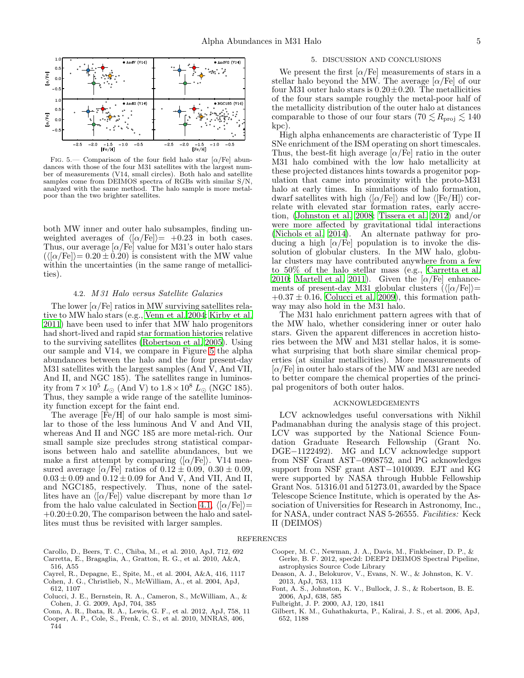

<span id="page-4-9"></span>FIG. 5.— Comparison of the four field halo star  $\alpha$ /Fe] abundances with those of the four M31 satellites with the largest number of measurements (V14, small circles). Both halo and satellite samples come from DEIMOS spectra of RGBs with similar S/N, analyzed with the same method. The halo sample is more metalpoor than the two brighter satellites.

both MW inner and outer halo subsamples, finding unweighted averages of  $\langle \langle \alpha/\text{Fe} \rangle \rangle = +0.23$  in both cases. Thus, our average  $\alpha$ /Fe] value for M31's outer halo stars  $(\langle [\alpha/Fe]\rangle = 0.20 \pm 0.20)$  is consistent with the MW value within the uncertainties (in the same range of metallicities).

## 4.2. M 31 Halo versus Satellite Galaxies

The lower  $\alpha$ /Fe] ratios in MW surviving satellites relative to MW halo stars (e.g., [Venn et al. 2004;](#page-5-33) [Kirby et al.](#page-5-29) [2011\)](#page-5-29) have been used to infer that MW halo progenitors had short-lived and rapid star formation histories relative to the surviving satellites [\(Robertson et al. 2005\)](#page-5-34). Using our sample and V14, we compare in Figure [5](#page-4-9) the alpha abundances between the halo and the four present-day M31 satellites with the largest samples (And V, And VII, And II, and NGC 185). The satellites range in luminosity from  $7 \times 10^5$  L<sub>☉</sub> (And V) to  $1.8 \times 10^8$  L<sub>☉</sub> (NGC 185). Thus, they sample a wide range of the satellite luminosity function except for the faint end.

The average [Fe/H] of our halo sample is most similar to those of the less luminous And V and And VII, whereas And II and NGC 185 are more metal-rich. Our small sample size precludes strong statistical comparisons between halo and satellite abundances, but we make a first attempt by comparing  $\langle \langle \alpha/\text{Fe} \rangle \rangle$ . V14 measured average  $\alpha$ /Fe] ratios of  $0.12 \pm 0.09$ ,  $0.30 \pm 0.09$ ,  $0.03 \pm 0.09$  and  $0.12 \pm 0.09$  for And V, And VII, And II, and NGC185, respectively. Thus, none of the satellites have an  $\langle \alpha/\text{Fe} \rangle$  value discrepant by more than  $1\sigma$ from the halo value calculated in Section [4.1,](#page-3-1)  $\langle \alpha/\text{Fe} \rangle$ =  $+0.20\pm0.20$ , The comparison between the halo and satellites must thus be revisited with larger samples.

#### 5. DISCUSSION AND CONCLUSIONS

We present the first  $\alpha$ /Fe] measurements of stars in a stellar halo beyond the MW. The average  $\alpha$ /Fe] of our four M31 outer halo stars is  $0.20 \pm 0.20$ . The metallicities of the four stars sample roughly the metal-poor half of the metallicity distribution of the outer halo at distances comparable to those of our four stars (70  $\lesssim R_{\text{proj}} \lesssim 140$ ) kpc).

High alpha enhancements are characteristic of Type II SNe enrichment of the ISM operating on short timescales. Thus, the best-fit high average  $\alpha$ /Fe] ratio in the outer M31 halo combined with the low halo metallicity at these projected distances hints towards a progenitor population that came into proximity with the proto-M31 halo at early times. In simulations of halo formation, dwarf satellites with high  $\langle \alpha/Fe \rangle$  and low  $\langle [Fe/H] \rangle$  correlate with elevated star formation rates, early accretion, [\(Johnston et al. 2008;](#page-5-3) [Tissera et al. 2012\)](#page-5-4) and/or were more affected by gravitational tidal interactions [\(Nichols et al. 2014](#page-5-35)). An alternate pathway for producing a high  $\alpha$ /Fe] population is to invoke the dissolution of globular clusters. In the MW halo, globular clusters may have contributed anywhere from a few to 50% of the halo stellar mass (e.g., [Carretta et al.](#page-4-10) [2010;](#page-4-10) [Martell et al. 2011](#page-5-36)). Given the  $\alpha$  Fe] enhancements of present-day M31 globular clusters  $(\langle [\alpha/Fe]\rangle=$  $+0.37 \pm 0.16$ , [Colucci et al. 2009\)](#page-4-11), this formation pathway may also hold in the M31 halo.

The M31 halo enrichment pattern agrees with that of the MW halo, whether considering inner or outer halo stars. Given the apparent differences in accretion histories between the MW and M31 stellar halos, it is somewhat surprising that both share similar chemical properties (at similar metallicities). More measurements of  $\alpha$ /Fe] in outer halo stars of the MW and M31 are needed to better compare the chemical properties of the principal progenitors of both outer halos.

#### ACKNOWLEDGEMENTS

LCV acknowledges useful conversations with Nikhil Padmanabhan during the analysis stage of this project. LCV was supported by the National Science Foundation Graduate Research Fellowship (Grant No. DGE−1122492). MG and LCV acknowledge support from NSF Grant AST−0908752, and PG acknowledges support from NSF grant AST−1010039. EJT and KG were supported by NASA through Hubble Fellowship Grant Nos. 51316.01 and 51273.01, awarded by the Space Telescope Science Institute, which is operated by the Association of Universities for Research in Astronomy, Inc., for NASA, under contract NAS 5-26555. Facilities: Keck II (DEIMOS)

#### REFERENCES

- <span id="page-4-10"></span><span id="page-4-1"></span>Carollo, D., Beers, T. C., Chiba, M., et al. 2010, ApJ, 712, 692 Carretta, E., Bragaglia, A., Gratton, R. G., et al. 2010, A&A, 516, A55
- <span id="page-4-3"></span>Cayrel, R., Depagne, E., Spite, M., et al. 2004, A&A, 416, 1117
- <span id="page-4-4"></span>Cohen, J. G., Christlieb, N., McWilliam, A., et al. 2004, ApJ, 612, 1107
- <span id="page-4-11"></span>Colucci, J. E., Bernstein, R. A., Cameron, S., McWilliam, A., & Cohen, J. G. 2009, ApJ, 704, 385
- <span id="page-4-8"></span>Conn, A. R., Ibata, R. A., Lewis, G. F., et al. 2012, ApJ, 758, 11
- <span id="page-4-0"></span>Cooper, A. P., Cole, S., Frenk, C. S., et al. 2010, MNRAS, 406, 744
- <span id="page-4-7"></span>Cooper, M. C., Newman, J. A., Davis, M., Finkbeiner, D. P., & Gerke, B. F. 2012, spec2d: DEEP2 DEIMOS Spectral Pipeline, astrophysics Source Code Library
- <span id="page-4-5"></span>Deason, A. J., Belokurov, V., Evans, N. W., & Johnston, K. V. 2013, ApJ, 763, 113
- Font, A. S., Johnston, K. V., Bullock, J. S., & Robertson, B. E. 2006, ApJ, 638, 585
- <span id="page-4-2"></span>Fulbright, J. P. 2000, AJ, 120, 1841
- <span id="page-4-6"></span>Gilbert, K. M., Guhathakurta, P., Kalirai, J. S., et al. 2006, ApJ, 652, 1188